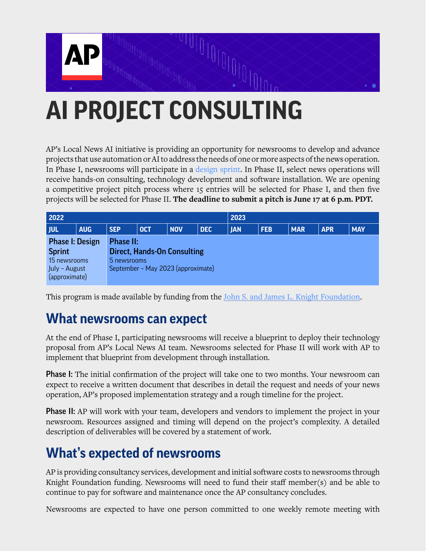

# **AI PROJECT CONSULTING**

AP's Local News AI initiative is providing an opportunity for newsrooms to develop and advance projects that use automation or AI to address the needs of one or more aspects of the news operation. In Phase I, newsrooms will participate in a [design sprint.](https://en.wikipedia.org/wiki/Design_sprint) In Phase II, select news operations will receive hands-on consulting, technology development and software installation. We are opening a competitive project pitch process where 15 entries will be selected for Phase I, and then five projects will be selected for Phase II. **The deadline to submit a pitch is June 17 at 6 p.m. PDT.**

| 2022                           |            |                                    |            |            |            | 2023       |            |            |            |            |  |  |
|--------------------------------|------------|------------------------------------|------------|------------|------------|------------|------------|------------|------------|------------|--|--|
| <b>JUL</b>                     | <b>AUG</b> | <b>SEP</b>                         | <b>OCT</b> | <b>NOV</b> | <b>DEC</b> | <b>JAN</b> | <b>FEB</b> | <b>MAR</b> | <b>APR</b> | <b>MAY</b> |  |  |
| <b>Phase I: Design</b>         |            | <b>Phase II:</b>                   |            |            |            |            |            |            |            |            |  |  |
| <b>Sprint</b>                  |            | <b>Direct, Hands-On Consulting</b> |            |            |            |            |            |            |            |            |  |  |
| 15 newsrooms                   |            | 5 newsrooms                        |            |            |            |            |            |            |            |            |  |  |
| July - August<br>(approximate) |            | September - May 2023 (approximate) |            |            |            |            |            |            |            |            |  |  |

This program is made available by funding from the [John S. and James L. Knight Foundation.](https://knightfoundation.org/)

#### **What newsrooms can expect**

At the end of Phase I, participating newsrooms will receive a blueprint to deploy their technology proposal from AP's Local News AI team. Newsrooms selected for Phase II will work with AP to implement that blueprint from development through installation.

**Phase I:** The initial confirmation of the project will take one to two months. Your newsroom can expect to receive a written document that describes in detail the request and needs of your news operation, AP's proposed implementation strategy and a rough timeline for the project.

**Phase II:** AP will work with your team, developers and vendors to implement the project in your newsroom. Resources assigned and timing will depend on the project's complexity. A detailed description of deliverables will be covered by a statement of work.

#### **What's expected of newsrooms**

AP is providing consultancy services, development and initial software costs to newsrooms through Knight Foundation funding. Newsrooms will need to fund their staff member(s) and be able to continue to pay for software and maintenance once the AP consultancy concludes.

Newsrooms are expected to have one person committed to one weekly remote meeting with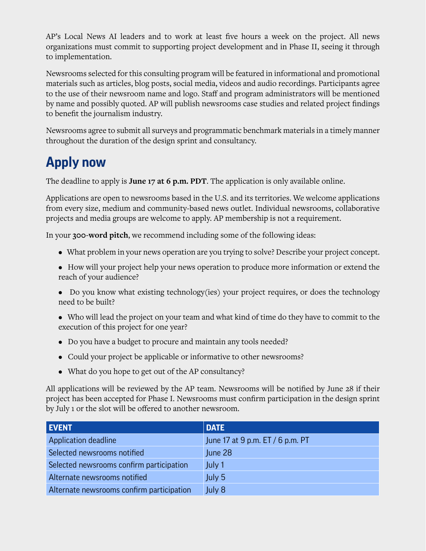AP's Local News AI leaders and to work at least five hours a week on the project. All news organizations must commit to supporting project development and in Phase II, seeing it through to implementation.

Newsrooms selected for this consulting program will be featured in informational and promotional materials such as articles, blog posts, social media, videos and audio recordings. Participants agree to the use of their newsroom name and logo. Staff and program administrators will be mentioned by name and possibly quoted. AP will publish newsrooms case studies and related project findings to benefit the journalism industry.

Newsrooms agree to submit all surveys and programmatic benchmark materials in a timely manner throughout the duration of the design sprint and consultancy.

# **Apply now**

The deadline to apply is **June 17 at 6 p.m. PDT**. The application is only available online.

Applications are open to newsrooms based in the U.S. and its territories. We welcome applications from every size, medium and community-based news outlet. Individual newsrooms, collaborative projects and media groups are welcome to apply. AP membership is not a requirement.

In your **300-word pitch**, we recommend including some of the following ideas:

- What problem in your news operation are you trying to solve? Describe your project concept.
- How will your project help your news operation to produce more information or extend the reach of your audience?
- Do you know what existing technology(ies) your project requires, or does the technology need to be built?
- Who will lead the project on your team and what kind of time do they have to commit to the execution of this project for one year?
- Do you have a budget to procure and maintain any tools needed?
- Could your project be applicable or informative to other newsrooms?
- What do you hope to get out of the AP consultancy?

All applications will be reviewed by the AP team. Newsrooms will be notified by June 28 if their project has been accepted for Phase I. Newsrooms must confirm participation in the design sprint by July 1 or the slot will be offered to another newsroom.

| <b>EVENT</b>                              | <b>DATE</b>                      |
|-------------------------------------------|----------------------------------|
| Application deadline                      | June 17 at 9 p.m. ET / 6 p.m. PT |
| Selected newsrooms notified               | June 28                          |
| Selected newsrooms confirm participation  | July 1                           |
| Alternate newsrooms notified              | July 5                           |
| Alternate newsrooms confirm participation | July 8                           |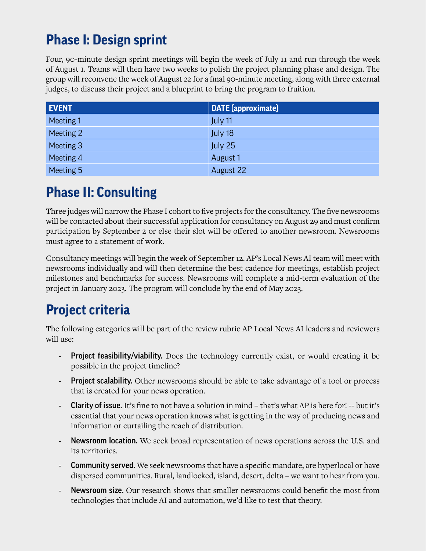# **Phase I: Design sprint**

Four, 90-minute design sprint meetings will begin the week of July 11 and run through the week of August 1. Teams will then have two weeks to polish the project planning phase and design. The group will reconvene the week of August 22 for a final 90-minute meeting, along with three external judges, to discuss their project and a blueprint to bring the program to fruition.

| <b>EVENT</b> | <b>DATE</b> (approximate) |
|--------------|---------------------------|
| Meeting 1    | July 11                   |
| Meeting 2    | July 18                   |
| Meeting 3    | July 25                   |
| Meeting 4    | August 1                  |
| Meeting 5    | August 22                 |

## **Phase II: Consulting**

Three judges will narrow the Phase I cohort to five projects for the consultancy. The five newsrooms will be contacted about their successful application for consultancy on August 29 and must confirm participation by September 2 or else their slot will be offered to another newsroom. Newsrooms must agree to a statement of work.

Consultancy meetings will begin the week of September 12. AP's Local News AI team will meet with newsrooms individually and will then determine the best cadence for meetings, establish project milestones and benchmarks for success. Newsrooms will complete a mid-term evaluation of the project in January 2023. The program will conclude by the end of May 2023.

# **Project criteria**

The following categories will be part of the review rubric AP Local News AI leaders and reviewers will use:

- **Project feasibility/viability.** Does the technology currently exist, or would creating it be possible in the project timeline?
- **Project scalability.** Other newsrooms should be able to take advantage of a tool or process that is created for your news operation.
- Clarity of issue. It's fine to not have a solution in mind that's what AP is here for! -- but it's essential that your news operation knows what is getting in the way of producing news and information or curtailing the reach of distribution.
- **Newsroom location.** We seek broad representation of news operations across the U.S. and its territories.
- **Community served.** We seek newsrooms that have a specific mandate, are hyperlocal or have dispersed communities. Rural, landlocked, island, desert, delta – we want to hear from you.
- Newsroom size. Our research shows that smaller newsrooms could benefit the most from technologies that include AI and automation, we'd like to test that theory.